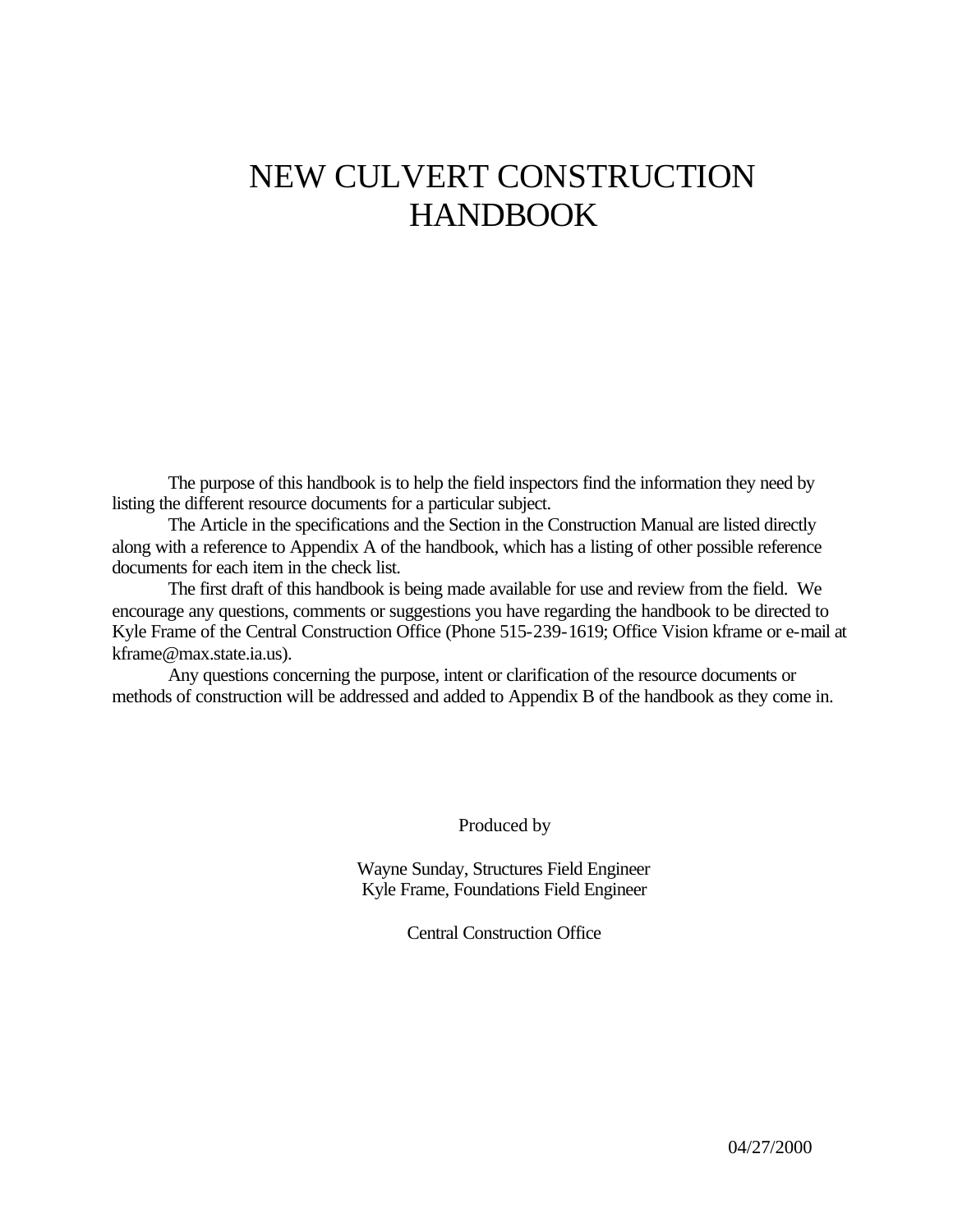## NEW CULVERT CONSTRUCTION HANDBOOK

The purpose of this handbook is to help the field inspectors find the information they need by listing the different resource documents for a particular subject.

The Article in the specifications and the Section in the Construction Manual are listed directly along with a reference to Appendix A of the handbook, which has a listing of other possible reference documents for each item in the check list.

The first draft of this handbook is being made available for use and review from the field. We encourage any questions, comments or suggestions you have regarding the handbook to be directed to Kyle Frame of the Central Construction Office (Phone 515-239-1619; Office Vision kframe or e-mail at kframe@max.state.ia.us).

Any questions concerning the purpose, intent or clarification of the resource documents or methods of construction will be addressed and added to Appendix B of the handbook as they come in.

Produced by

Wayne Sunday, Structures Field Engineer Kyle Frame, Foundations Field Engineer

Central Construction Office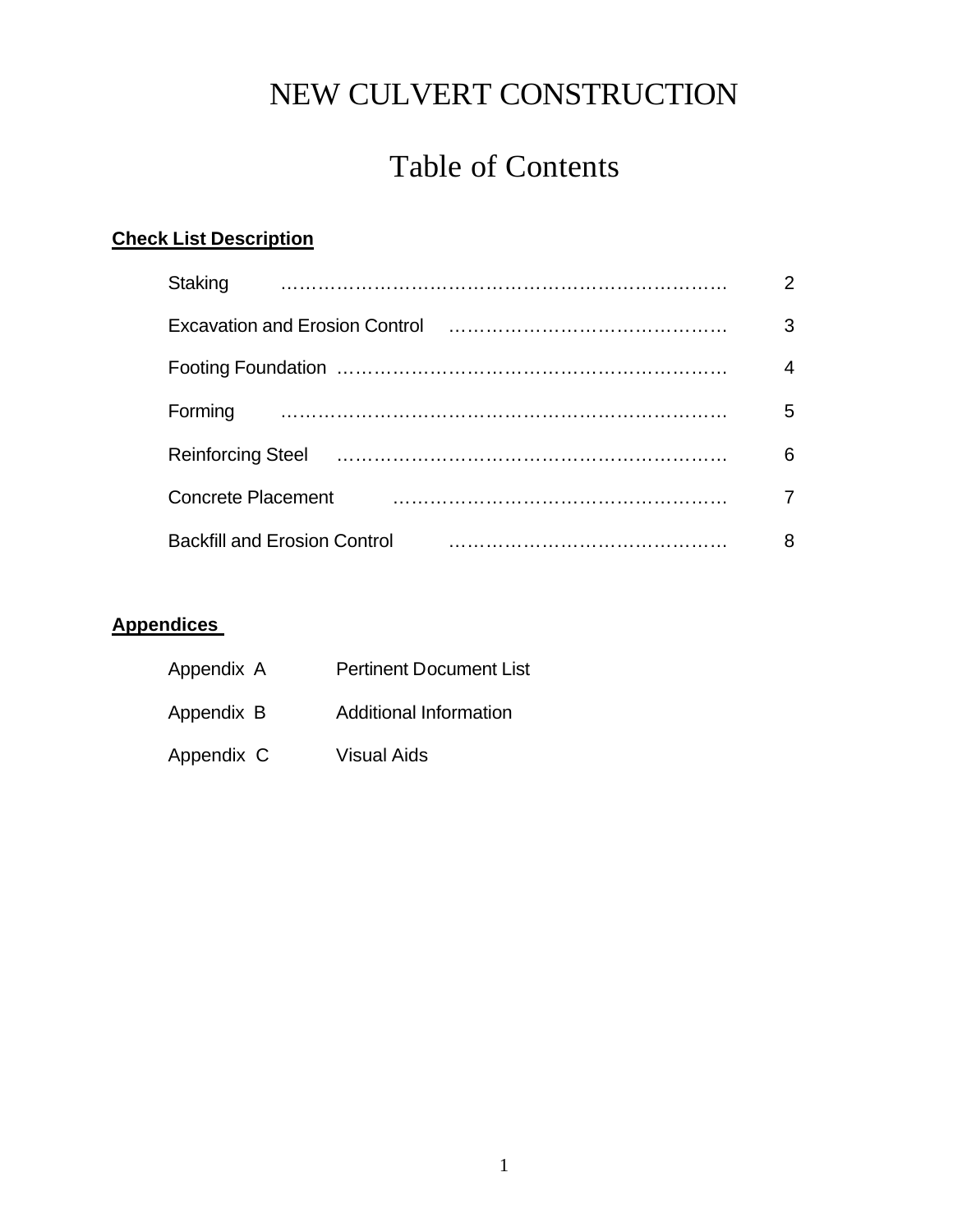## Table of Contents

#### **Check List Description**

| Staking                                                                                                                                                                                                                              | $\overline{2}$ |
|--------------------------------------------------------------------------------------------------------------------------------------------------------------------------------------------------------------------------------------|----------------|
|                                                                                                                                                                                                                                      | 3              |
|                                                                                                                                                                                                                                      | $\overline{4}$ |
| Forming                                                                                                                                                                                                                              | 5              |
| Reinforcing Steel <b>For the Contract Contract Contract Contract Contract Contract Contract Contract Contract Contract Contract Contract Contract Contract Contract Contract Contract Contract Contract Contract Contract Contra</b> | 6              |
| <b>Concrete Placement</b>                                                                                                                                                                                                            | 7              |
| <b>Backfill and Erosion Control</b>                                                                                                                                                                                                  | 8              |

#### **Appendices**

| Appendix A | <b>Pertinent Document List</b> |
|------------|--------------------------------|
| Appendix B | Additional Information         |
| Appendix C | Visual Aids                    |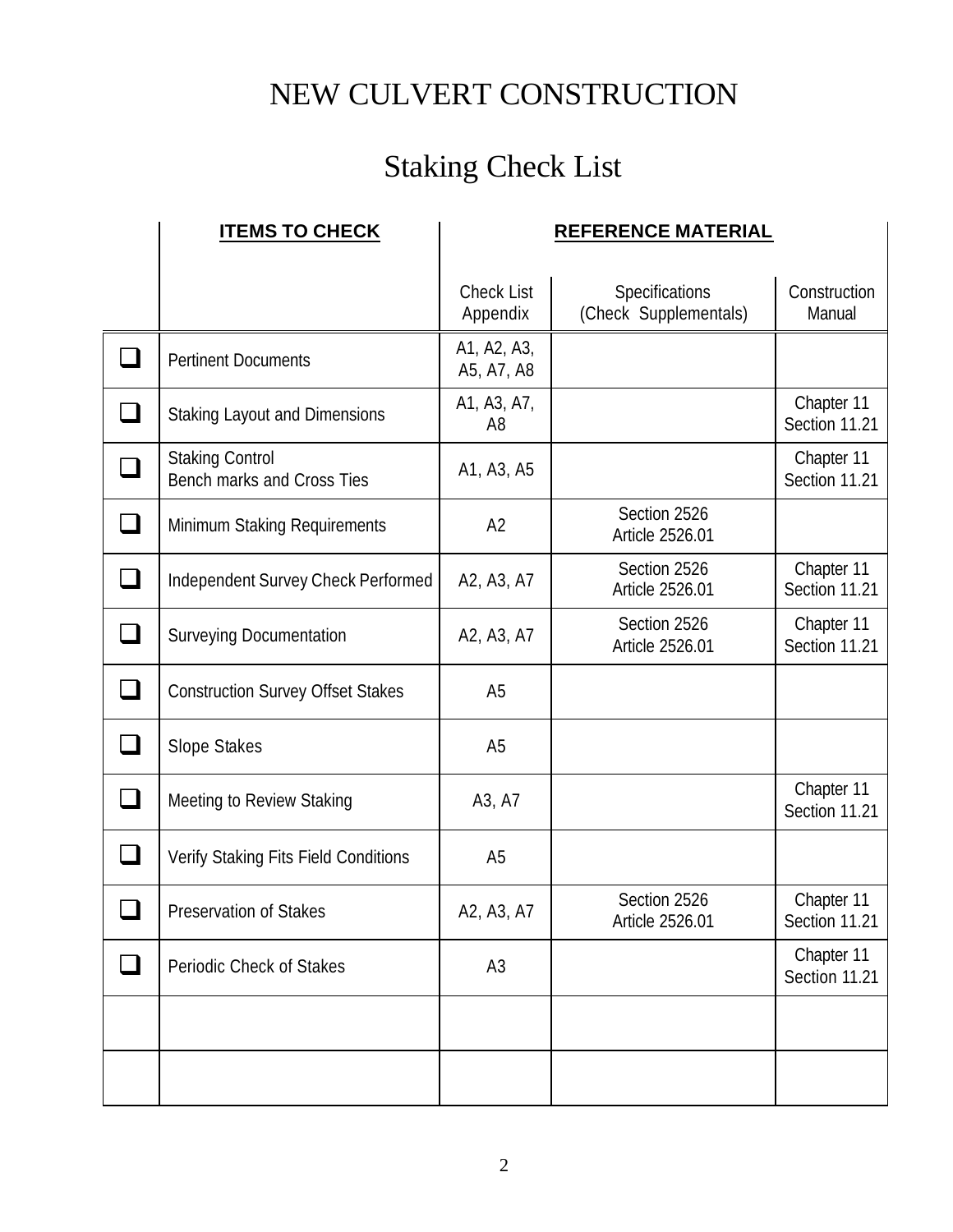# Staking Check List

|               | <b>ITEMS TO CHECK</b>                                |                               | <b>REFERENCE MATERIAL</b>               |                             |
|---------------|------------------------------------------------------|-------------------------------|-----------------------------------------|-----------------------------|
|               |                                                      | <b>Check List</b><br>Appendix | Specifications<br>(Check Supplementals) | Construction<br>Manual      |
|               | <b>Pertinent Documents</b>                           | A1, A2, A3,<br>A5, A7, A8     |                                         |                             |
|               | <b>Staking Layout and Dimensions</b>                 | A1, A3, A7,<br>A8             |                                         | Chapter 11<br>Section 11.21 |
|               | <b>Staking Control</b><br>Bench marks and Cross Ties | A1, A3, A5                    |                                         | Chapter 11<br>Section 11.21 |
|               | Minimum Staking Requirements                         | A2                            | Section 2526<br>Article 2526.01         |                             |
|               | Independent Survey Check Performed                   | A2, A3, A7                    | Section 2526<br>Article 2526.01         | Chapter 11<br>Section 11.21 |
|               | <b>Surveying Documentation</b>                       | A2, A3, A7                    | Section 2526<br>Article 2526.01         | Chapter 11<br>Section 11.21 |
| $\mathcal{L}$ | <b>Construction Survey Offset Stakes</b>             | A <sub>5</sub>                |                                         |                             |
|               | Slope Stakes                                         | A <sub>5</sub>                |                                         |                             |
|               | Meeting to Review Staking                            | A3, A7                        |                                         | Chapter 11<br>Section 11.21 |
|               | Verify Staking Fits Field Conditions                 | A <sub>5</sub>                |                                         |                             |
|               | Preservation of Stakes                               | A2, A3, A7                    | Section 2526<br>Article 2526.01         | Chapter 11<br>Section 11.21 |
|               | Periodic Check of Stakes                             | A <sub>3</sub>                |                                         | Chapter 11<br>Section 11.21 |
|               |                                                      |                               |                                         |                             |
|               |                                                      |                               |                                         |                             |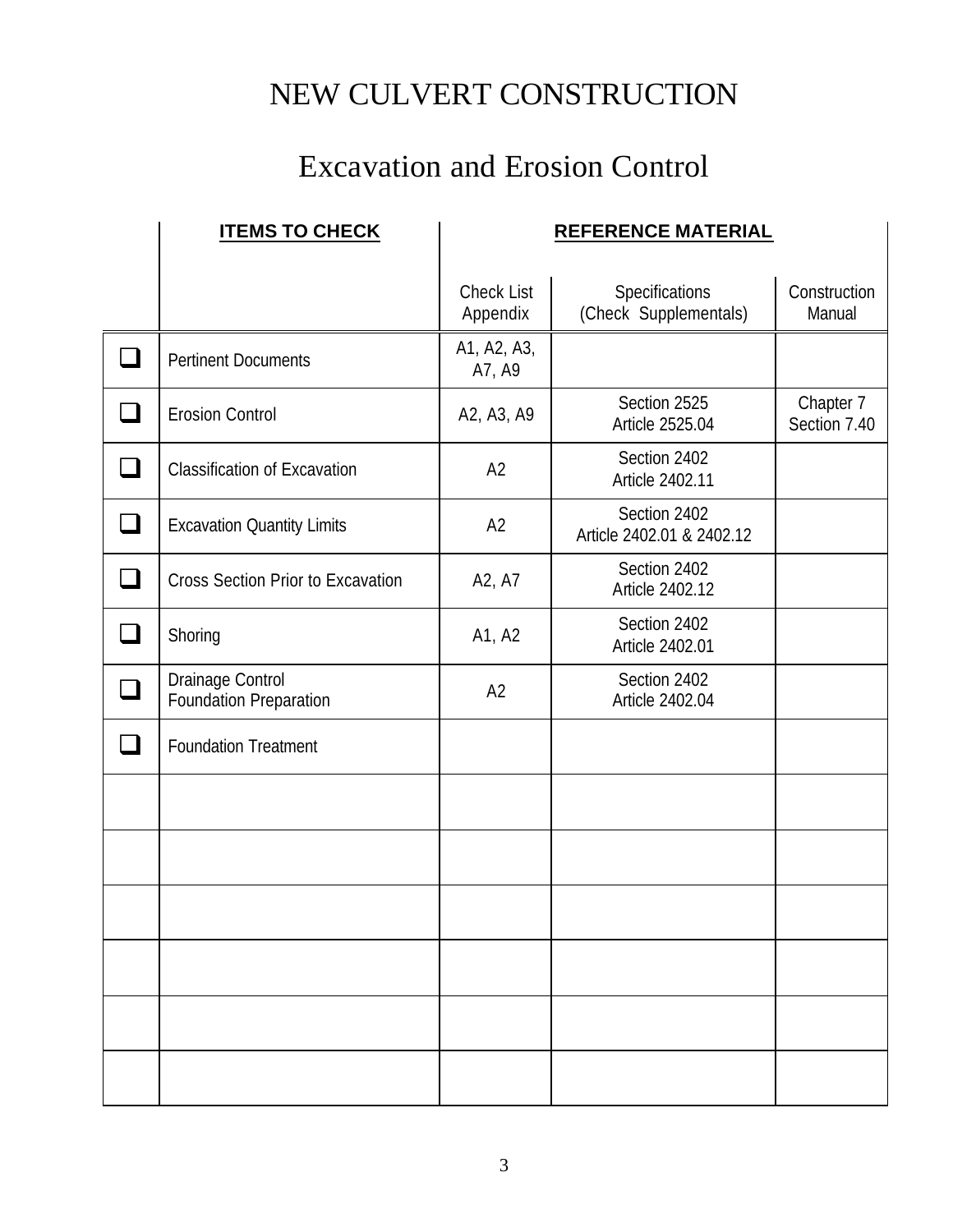## Excavation and Erosion Control

| <b>ITEMS TO CHECK</b>                      |                               | <b>REFERENCE MATERIAL</b>                 |                           |
|--------------------------------------------|-------------------------------|-------------------------------------------|---------------------------|
|                                            | <b>Check List</b><br>Appendix | Specifications<br>(Check Supplementals)   | Construction<br>Manual    |
| <b>Pertinent Documents</b>                 | A1, A2, A3,<br>A7, A9         |                                           |                           |
| <b>Erosion Control</b>                     | A2, A3, A9                    | Section 2525<br>Article 2525.04           | Chapter 7<br>Section 7.40 |
| <b>Classification of Excavation</b>        | A <sub>2</sub>                | Section 2402<br>Article 2402.11           |                           |
| <b>Excavation Quantity Limits</b>          | A2                            | Section 2402<br>Article 2402.01 & 2402.12 |                           |
| <b>Cross Section Prior to Excavation</b>   | A2, A7                        | Section 2402<br>Article 2402.12           |                           |
| Shoring                                    | A1, A2                        | Section 2402<br>Article 2402.01           |                           |
| Drainage Control<br>Foundation Preparation | A2                            | Section 2402<br>Article 2402.04           |                           |
| <b>Foundation Treatment</b>                |                               |                                           |                           |
|                                            |                               |                                           |                           |
|                                            |                               |                                           |                           |
|                                            |                               |                                           |                           |
|                                            |                               |                                           |                           |
|                                            |                               |                                           |                           |
|                                            |                               |                                           |                           |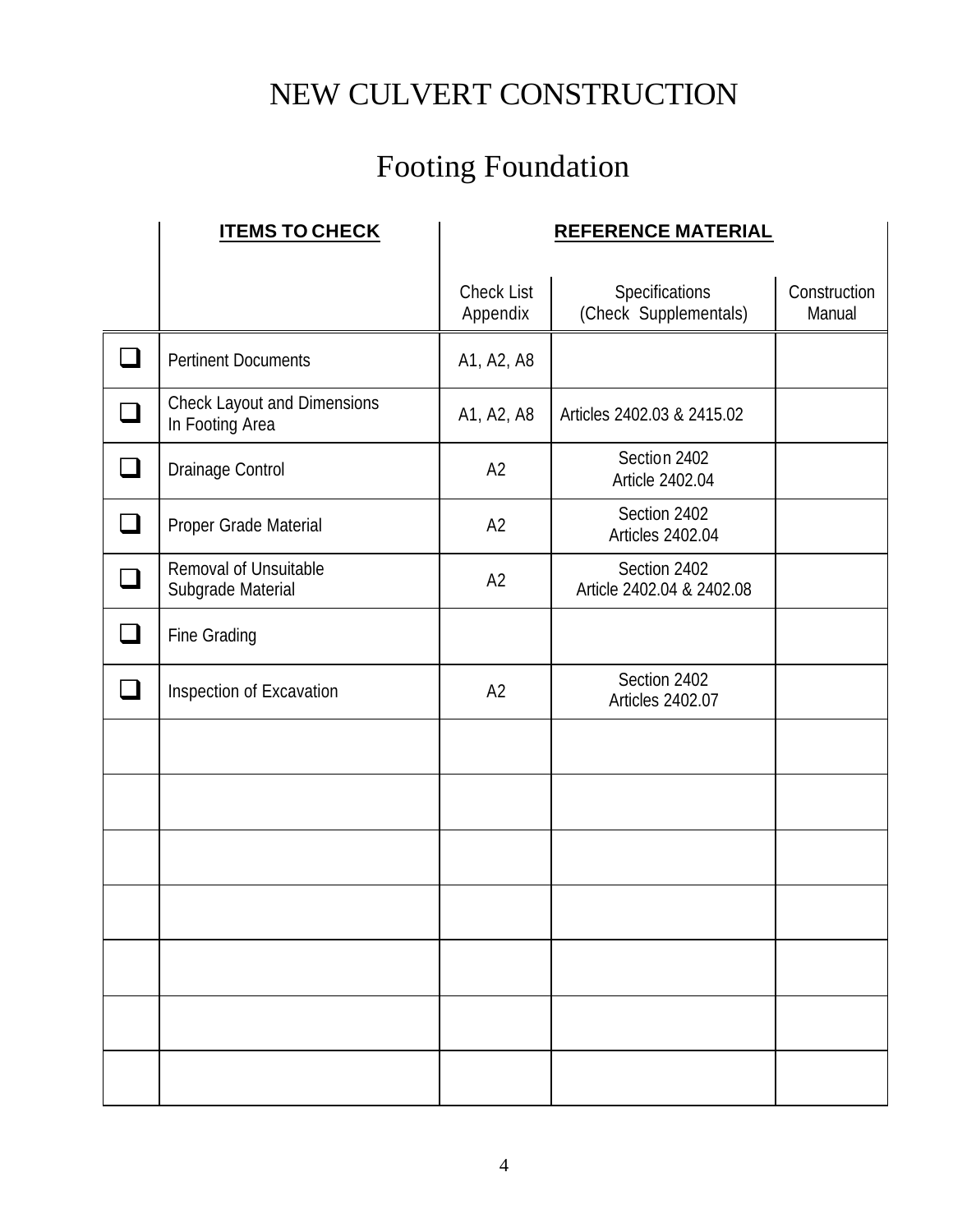# Footing Foundation

| <b>ITEMS TO CHECK</b>                                 |                               | <b>REFERENCE MATERIAL</b>                 |                        |
|-------------------------------------------------------|-------------------------------|-------------------------------------------|------------------------|
|                                                       | <b>Check List</b><br>Appendix | Specifications<br>(Check Supplementals)   | Construction<br>Manual |
| <b>Pertinent Documents</b>                            | A1, A2, A8                    |                                           |                        |
| <b>Check Layout and Dimensions</b><br>In Footing Area | A1, A2, A8                    | Articles 2402.03 & 2415.02                |                        |
| Drainage Control                                      | A2                            | Section 2402<br>Article 2402.04           |                        |
| Proper Grade Material                                 | A2                            | Section 2402<br>Articles 2402.04          |                        |
| Removal of Unsuitable<br>Subgrade Material            | A2                            | Section 2402<br>Article 2402.04 & 2402.08 |                        |
| Fine Grading                                          |                               |                                           |                        |
| Inspection of Excavation                              | A2                            | Section 2402<br><b>Articles 2402.07</b>   |                        |
|                                                       |                               |                                           |                        |
|                                                       |                               |                                           |                        |
|                                                       |                               |                                           |                        |
|                                                       |                               |                                           |                        |
|                                                       |                               |                                           |                        |
|                                                       |                               |                                           |                        |
|                                                       |                               |                                           |                        |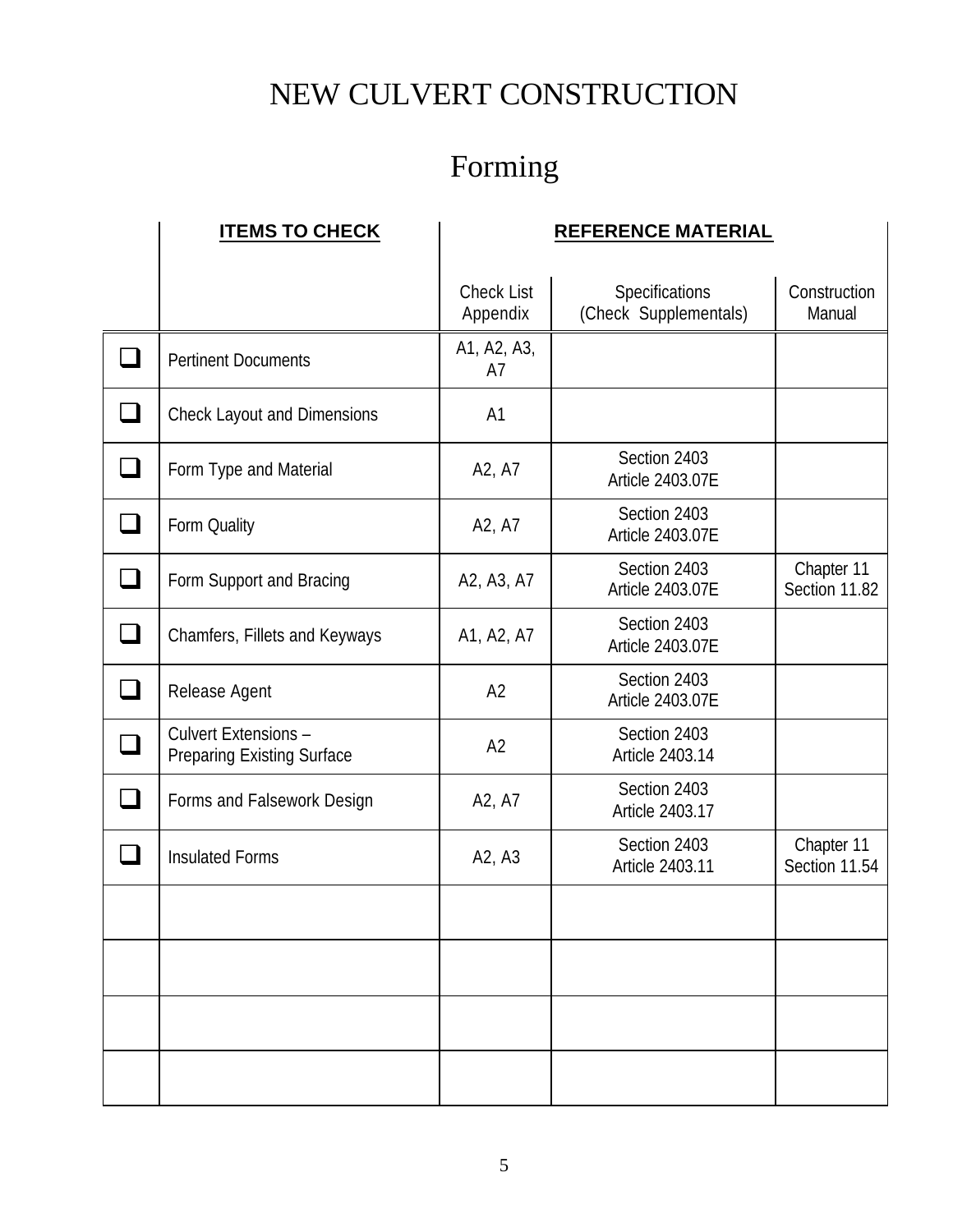# Forming

| <b>ITEMS TO CHECK</b>                                     | <b>REFERENCE MATERIAL</b>     |                                         |                             |
|-----------------------------------------------------------|-------------------------------|-----------------------------------------|-----------------------------|
|                                                           | <b>Check List</b><br>Appendix | Specifications<br>(Check Supplementals) | Construction<br>Manual      |
| <b>Pertinent Documents</b>                                | A1, A2, A3,<br>A7             |                                         |                             |
| <b>Check Layout and Dimensions</b>                        | A <sub>1</sub>                |                                         |                             |
| Form Type and Material                                    | A2, A7                        | Section 2403<br>Article 2403.07E        |                             |
| Form Quality                                              | A2, A7                        | Section 2403<br>Article 2403.07E        |                             |
| Form Support and Bracing                                  | A2, A3, A7                    | Section 2403<br>Article 2403.07E        | Chapter 11<br>Section 11.82 |
| Chamfers, Fillets and Keyways                             | A1, A2, A7                    | Section 2403<br>Article 2403.07E        |                             |
| Release Agent                                             | A2                            | Section 2403<br>Article 2403.07E        |                             |
| Culvert Extensions -<br><b>Preparing Existing Surface</b> | A2                            | Section 2403<br>Article 2403.14         |                             |
| Forms and Falsework Design                                | A2, A7                        | Section 2403<br>Article 2403.17         |                             |
| <b>Insulated Forms</b>                                    | A2, A3                        | Section 2403<br>Article 2403.11         | Chapter 11<br>Section 11.54 |
|                                                           |                               |                                         |                             |
|                                                           |                               |                                         |                             |
|                                                           |                               |                                         |                             |
|                                                           |                               |                                         |                             |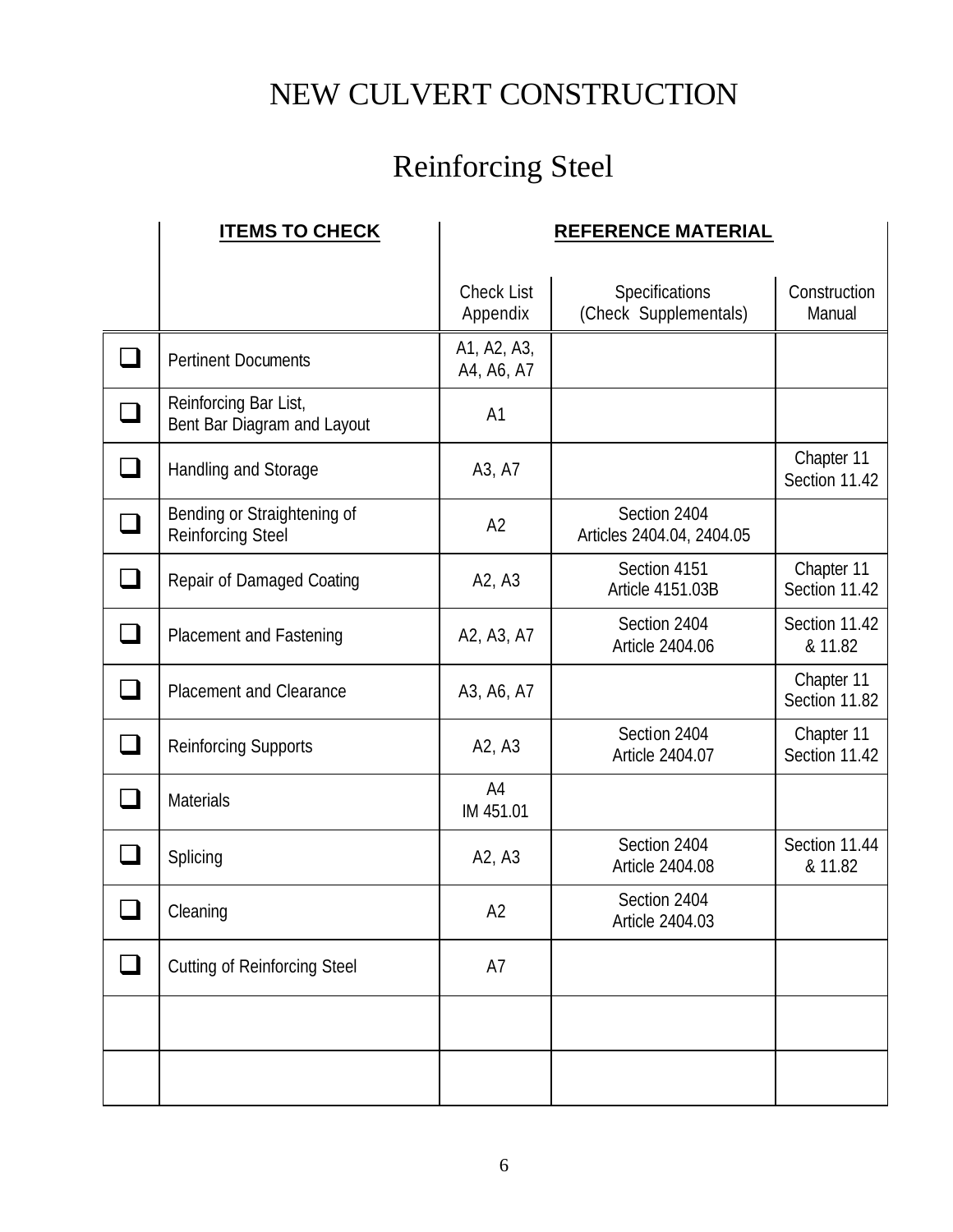# Reinforcing Steel

| <b>ITEMS TO CHECK</b>                                   |                                 | <b>REFERENCE MATERIAL</b>                 |                             |
|---------------------------------------------------------|---------------------------------|-------------------------------------------|-----------------------------|
|                                                         | <b>Check List</b><br>Appendix   | Specifications<br>(Check Supplementals)   | Construction<br>Manual      |
| <b>Pertinent Documents</b>                              | A1, A2, A3,<br>A4, A6, A7       |                                           |                             |
| Reinforcing Bar List,<br>Bent Bar Diagram and Layout    | A <sub>1</sub>                  |                                           |                             |
| Handling and Storage                                    | A3, A7                          |                                           | Chapter 11<br>Section 11.42 |
| Bending or Straightening of<br><b>Reinforcing Steel</b> | A2                              | Section 2404<br>Articles 2404.04, 2404.05 |                             |
| Repair of Damaged Coating                               | A <sub>2</sub> , A <sub>3</sub> | Section 4151<br>Article 4151.03B          | Chapter 11<br>Section 11.42 |
| Placement and Fastening                                 | A2, A3, A7                      | Section 2404<br>Article 2404.06           | Section 11.42<br>& 11.82    |
| <b>Placement and Clearance</b>                          | A3, A6, A7                      |                                           | Chapter 11<br>Section 11.82 |
| <b>Reinforcing Supports</b>                             | A2, A3                          | Section 2404<br>Article 2404.07           | Chapter 11<br>Section 11.42 |
| Materials                                               | A4<br>IM 451.01                 |                                           |                             |
| Splicing                                                | A2, A3                          | Section 2404<br>Article 2404.08           | Section 11.44<br>& 11.82    |
| Cleaning                                                | A <sub>2</sub>                  | Section 2404<br>Article 2404.03           |                             |
| <b>Cutting of Reinforcing Steel</b>                     | A7                              |                                           |                             |
|                                                         |                                 |                                           |                             |
|                                                         |                                 |                                           |                             |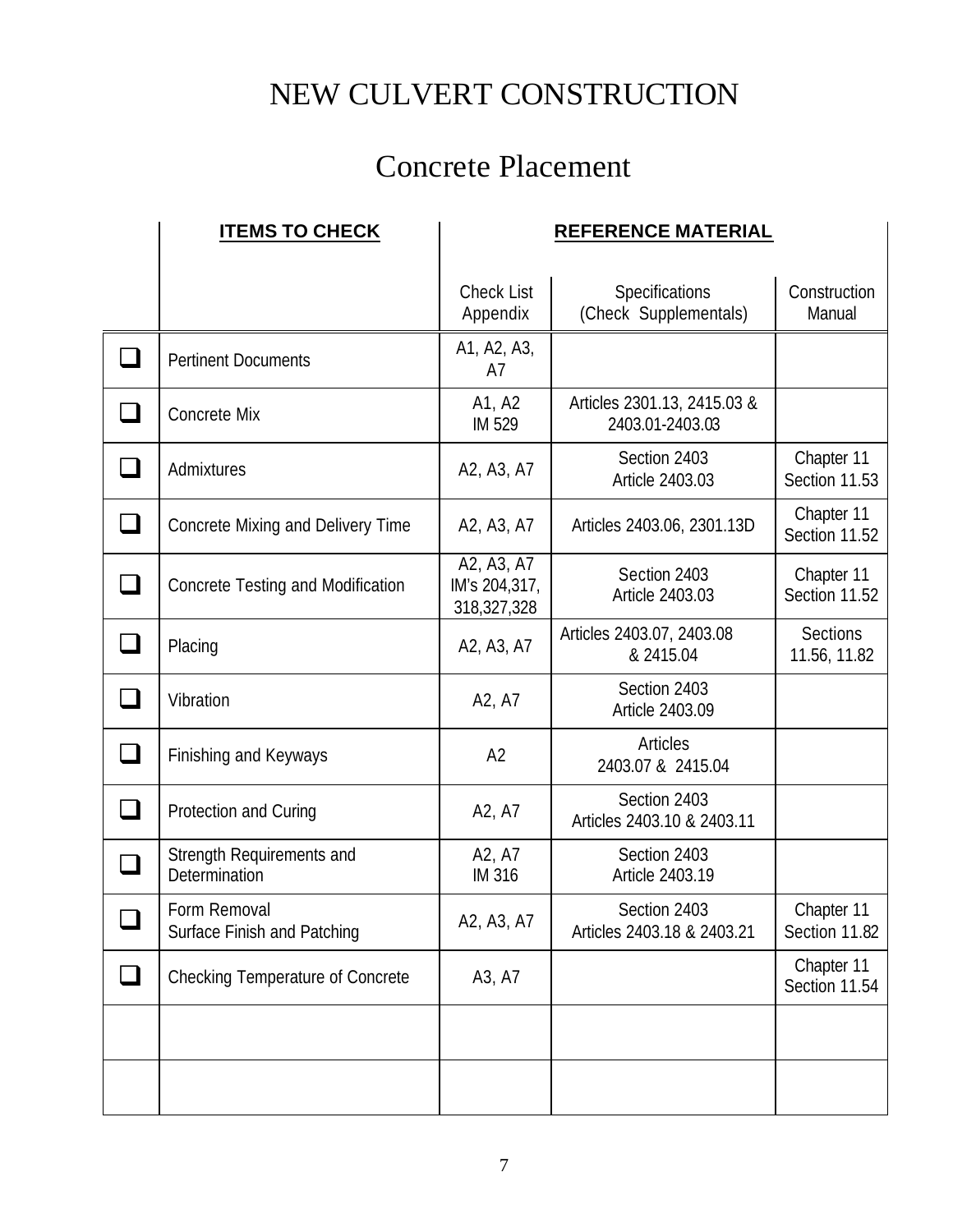## Concrete Placement

|                          | <b>ITEMS TO CHECK</b>                       |                                                  | <b>REFERENCE MATERIAL</b>                      |                             |
|--------------------------|---------------------------------------------|--------------------------------------------------|------------------------------------------------|-----------------------------|
|                          |                                             | <b>Check List</b><br>Appendix                    | Specifications<br>(Check Supplementals)        | Construction<br>Manual      |
|                          | <b>Pertinent Documents</b>                  | A1, A2, A3,<br>A7                                |                                                |                             |
|                          | Concrete Mix                                | A1, A2<br>IM 529                                 | Articles 2301.13, 2415.03 &<br>2403.01-2403.03 |                             |
|                          | Admixtures                                  | A2, A3, A7                                       | Section 2403<br>Article 2403.03                | Chapter 11<br>Section 11.53 |
|                          | Concrete Mixing and Delivery Time           | A <sub>2</sub> , A <sub>3</sub> , A <sub>7</sub> | Articles 2403.06, 2301.13D                     | Chapter 11<br>Section 11.52 |
|                          | Concrete Testing and Modification           | A2, A3, A7<br>IM's 204,317,<br>318,327,328       | Section 2403<br>Article 2403.03                | Chapter 11<br>Section 11.52 |
| $\sim$                   | Placing                                     | A2, A3, A7                                       | Articles 2403.07, 2403.08<br>& 2415.04         | Sections<br>11.56, 11.82    |
|                          | Vibration                                   | A2, A7                                           | Section 2403<br>Article 2403.09                |                             |
| $\overline{\phantom{a}}$ | Finishing and Keyways                       | A2                                               | Articles<br>2403.07 & 2415.04                  |                             |
| $\overline{\phantom{a}}$ | Protection and Curing                       | A2, A7                                           | Section 2403<br>Articles 2403.10 & 2403.11     |                             |
|                          | Strength Requirements and<br>Determination  | A2, A7<br><b>IM 316</b>                          | Section 2403<br>Article 2403.19                |                             |
| n                        | Form Removal<br>Surface Finish and Patching | A2, A3, A7                                       | Section 2403<br>Articles 2403.18 & 2403.21     | Chapter 11<br>Section 11.82 |
|                          | Checking Temperature of Concrete            | A3, A7                                           |                                                | Chapter 11<br>Section 11.54 |
|                          |                                             |                                                  |                                                |                             |
|                          |                                             |                                                  |                                                |                             |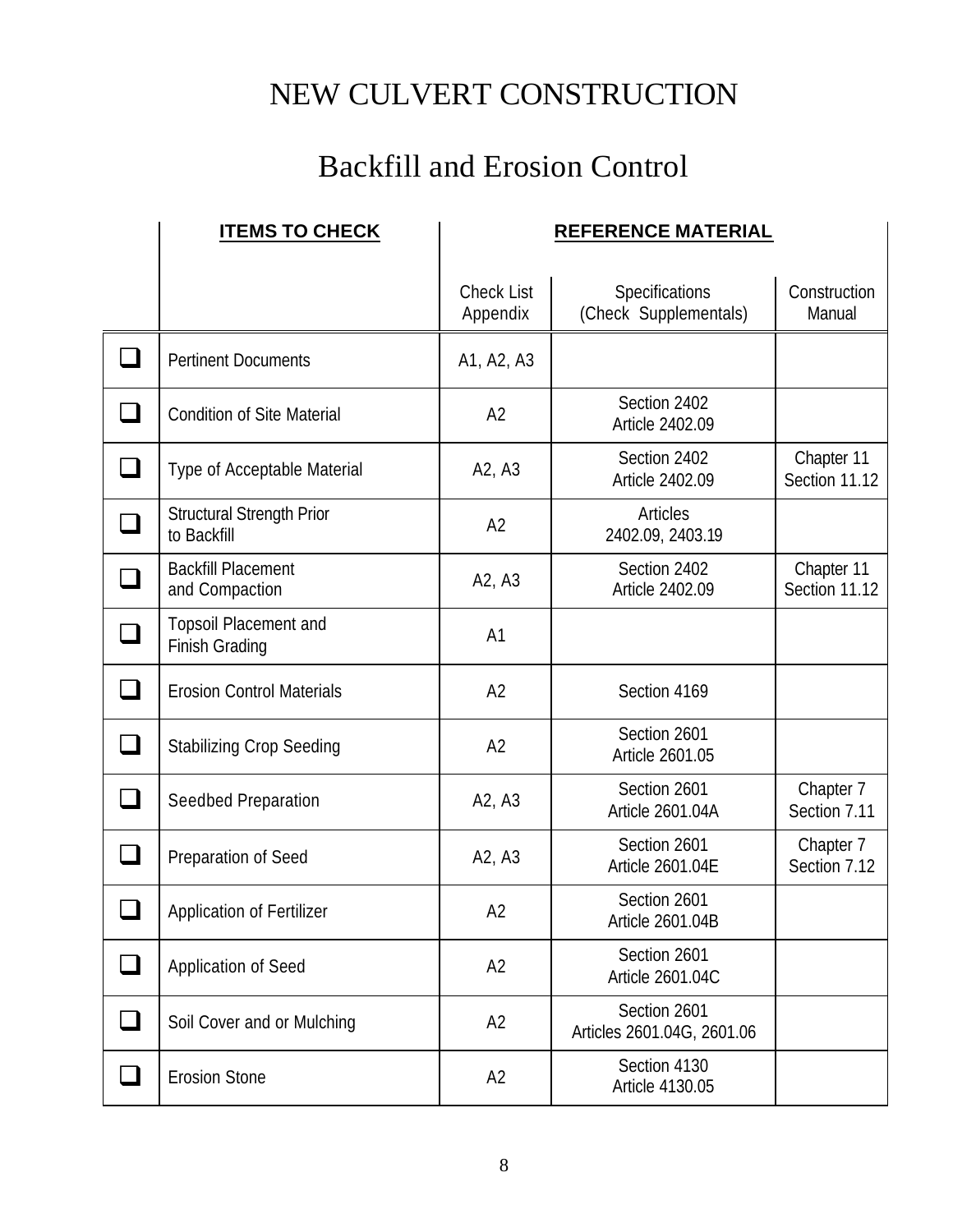#### Backfill and Erosion Control

|               | <b>ITEMS TO CHECK</b>                           |                                 | <b>REFERENCE MATERIAL</b>                  |                             |
|---------------|-------------------------------------------------|---------------------------------|--------------------------------------------|-----------------------------|
|               |                                                 | <b>Check List</b><br>Appendix   | Specifications<br>(Check Supplementals)    | Construction<br>Manual      |
|               | <b>Pertinent Documents</b>                      | A1, A2, A3                      |                                            |                             |
|               | <b>Condition of Site Material</b>               | A <sub>2</sub>                  | Section 2402<br>Article 2402.09            |                             |
|               | Type of Acceptable Material                     | A <sub>2</sub> , A <sub>3</sub> | Section 2402<br>Article 2402.09            | Chapter 11<br>Section 11.12 |
|               | <b>Structural Strength Prior</b><br>to Backfill | A2                              | Articles<br>2402.09, 2403.19               |                             |
|               | <b>Backfill Placement</b><br>and Compaction     | A <sub>2</sub> , A <sub>3</sub> | Section 2402<br>Article 2402.09            | Chapter 11<br>Section 11.12 |
|               | Topsoil Placement and<br>Finish Grading         | A1                              |                                            |                             |
|               | <b>Erosion Control Materials</b>                | A2                              | Section 4169                               |                             |
| $\mathcal{L}$ | <b>Stabilizing Crop Seeding</b>                 | A2                              | Section 2601<br>Article 2601.05            |                             |
|               | Seedbed Preparation                             | A2, A3                          | Section 2601<br>Article 2601.04A           | Chapter 7<br>Section 7.11   |
|               | Preparation of Seed                             | A2, A3                          | Section 2601<br>Article 2601.04E           | Chapter 7<br>Section 7.12   |
|               | Application of Fertilizer                       | A <sub>2</sub>                  | Section 2601<br>Article 2601.04B           |                             |
|               | <b>Application of Seed</b>                      | A <sub>2</sub>                  | Section 2601<br>Article 2601.04C           |                             |
|               | Soil Cover and or Mulching                      | A2                              | Section 2601<br>Articles 2601.04G, 2601.06 |                             |
|               | <b>Erosion Stone</b>                            | A2                              | Section 4130<br>Article 4130.05            |                             |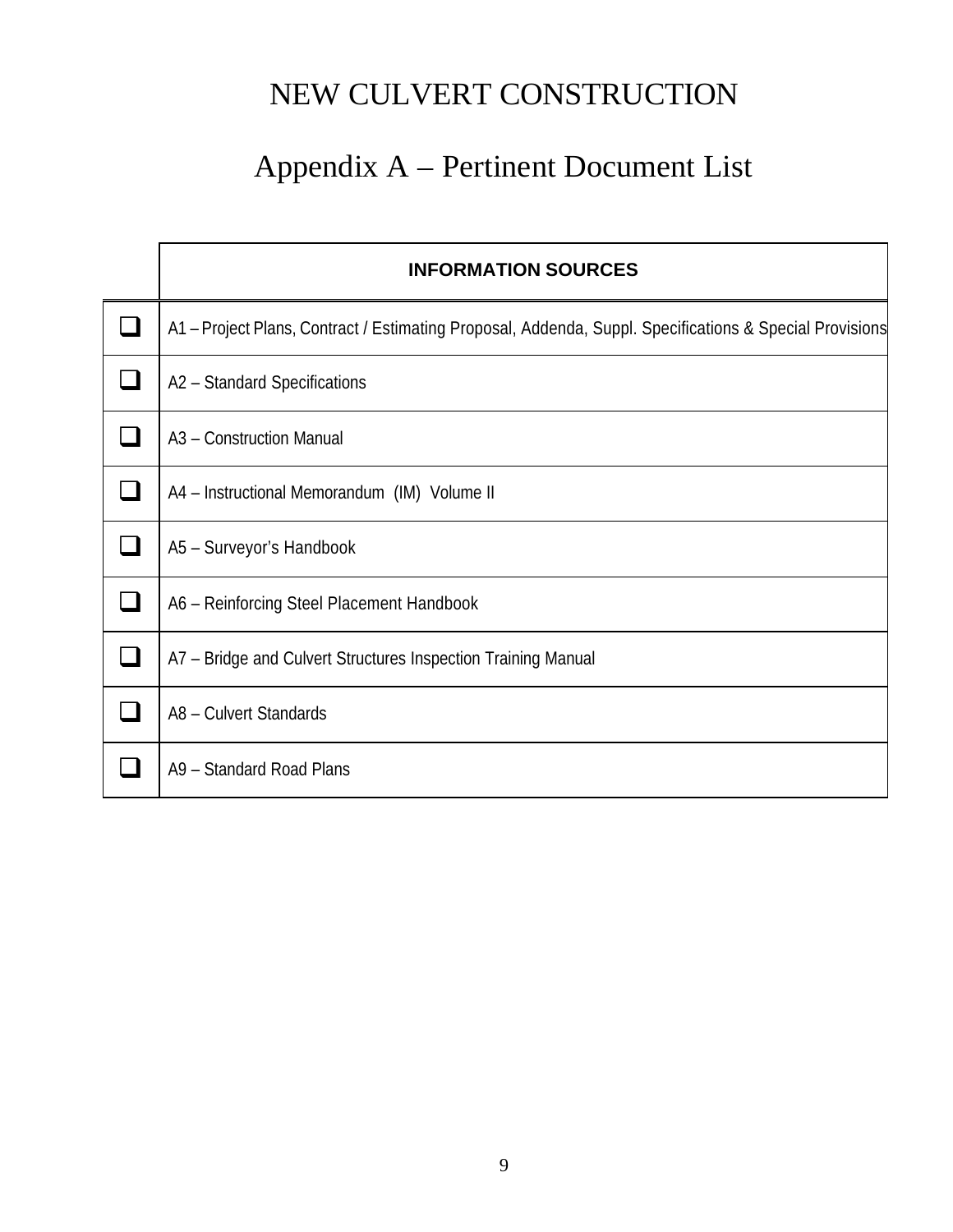## Appendix A – Pertinent Document List

| <b>INFORMATION SOURCES</b>                                                                              |
|---------------------------------------------------------------------------------------------------------|
| A1 – Project Plans, Contract / Estimating Proposal, Addenda, Suppl. Specifications & Special Provisions |
| A2 - Standard Specifications                                                                            |
| A3 - Construction Manual                                                                                |
| A4 - Instructional Memorandum (IM) Volume II                                                            |
| A5 - Surveyor's Handbook                                                                                |
| A6 - Reinforcing Steel Placement Handbook                                                               |
| A7 - Bridge and Culvert Structures Inspection Training Manual                                           |
| A8 - Culvert Standards                                                                                  |
| A9 - Standard Road Plans                                                                                |